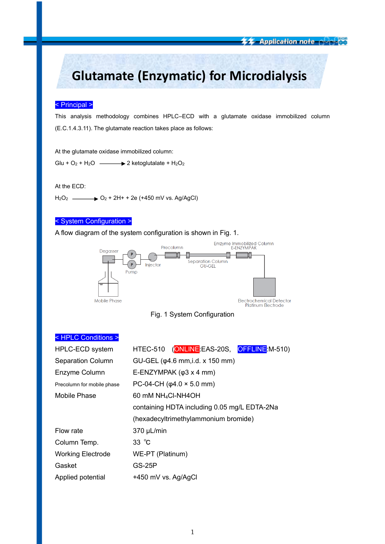<del>车车 Application note Alplay</del>

# **Glutamate (Enzymatic) for Microdialysis**

## < Principal >

This analysis methodology combines HPLC–ECD with a glutamate oxidase immobilized column (E.C.1.4.3.11). The glutamate reaction takes place as follows:

At the glutamate oxidase immobilized column:

Glu +  $O_2$  + H<sub>2</sub>O  $\longrightarrow$  2 ketoglutalate + H<sub>2</sub>O<sub>2</sub>

At the ECD:

 $H_2O_2$   $\longrightarrow$   $O_2 + 2H + 2e$  (+450 mV vs. Ag/AgCl)

## < System Configuration >

A flow diagram of the system configuration is shown in Fig. 1.





# < HPLC Conditions >

| HPLC-ECD system            | HTEC-510 (ONLINE EAS-20S, OFFLINE M-510)     |  |  |  |
|----------------------------|----------------------------------------------|--|--|--|
| <b>Separation Column</b>   | GU-GEL (φ4.6 mm, i.d. x 150 mm)              |  |  |  |
| Enzyme Column              | E-ENZYMPAK $(\varphi 3 \times 4 \text{ mm})$ |  |  |  |
| Precolumn for mobile phase | PC-04-CH ( $\varphi$ 4.0 × 5.0 mm)           |  |  |  |
| Mobile Phase               | 60 mM NH <sub>4</sub> CI-NH4OH               |  |  |  |
|                            | containing HDTA including 0.05 mg/L EDTA-2Na |  |  |  |
|                            | (hexadecyltrimethylammonium bromide)         |  |  |  |
| Flow rate                  | 370 µL/min                                   |  |  |  |
| Column Temp.               | $33^\circ \text{C}$                          |  |  |  |
| <b>Working Electrode</b>   | WE-PT (Platinum)                             |  |  |  |
| Gasket                     | <b>GS-25P</b>                                |  |  |  |
| Applied potential          | +450 mV vs. Ag/AgCl                          |  |  |  |